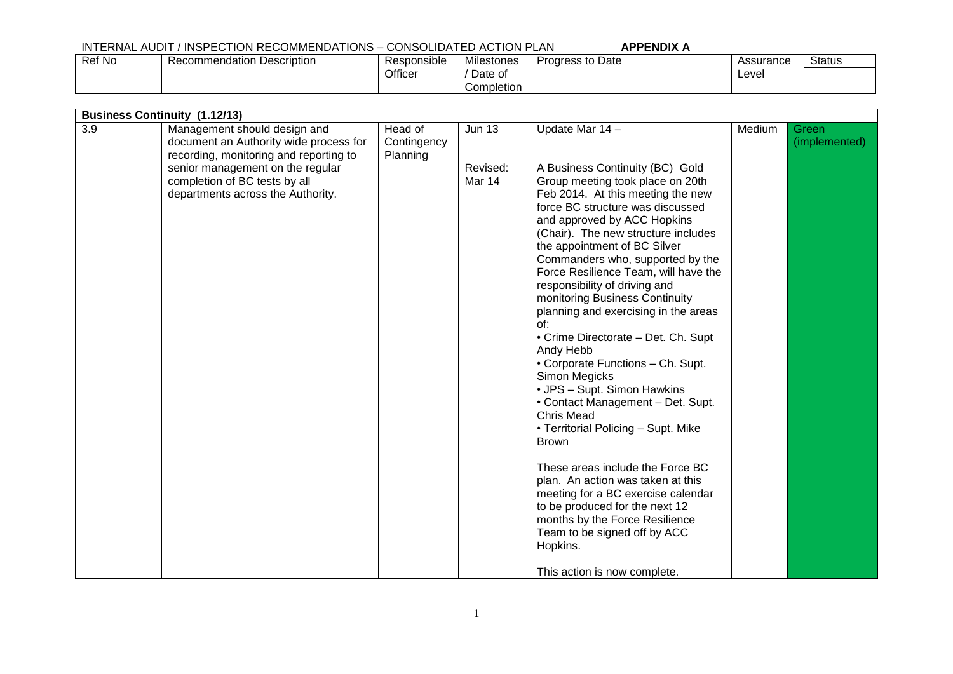Officer

Ref No Recommendation Description Responsible

| Assurance | Status |  |
|-----------|--------|--|
| Level     |        |  |

| 3.9 | <b>Business Continuity (1.12/13)</b><br>Management should design and<br>document an Authority wide process for<br>recording, monitoring and reporting to<br>senior management on the regular<br>completion of BC tests by all<br>departments across the Authority. | Head of<br>Contingency<br>Planning | <b>Jun 13</b><br>Revised:<br>Mar 14 | Update Mar 14 -<br>A Business Continuity (BC) Gold<br>Group meeting took place on 20th<br>Feb 2014. At this meeting the new<br>force BC structure was discussed<br>and approved by ACC Hopkins<br>(Chair). The new structure includes<br>the appointment of BC Silver<br>Commanders who, supported by the<br>Force Resilience Team, will have the                 | Medium | Green<br>(implemented) |
|-----|--------------------------------------------------------------------------------------------------------------------------------------------------------------------------------------------------------------------------------------------------------------------|------------------------------------|-------------------------------------|-------------------------------------------------------------------------------------------------------------------------------------------------------------------------------------------------------------------------------------------------------------------------------------------------------------------------------------------------------------------|--------|------------------------|
|     |                                                                                                                                                                                                                                                                    |                                    |                                     | responsibility of driving and<br>monitoring Business Continuity<br>planning and exercising in the areas<br>of:<br>• Crime Directorate - Det. Ch. Supt<br>Andy Hebb<br>• Corporate Functions - Ch. Supt.<br>Simon Megicks<br>• JPS - Supt. Simon Hawkins<br>• Contact Management - Det. Supt.<br>Chris Mead<br>• Territorial Policing - Supt. Mike<br><b>Brown</b> |        |                        |
|     |                                                                                                                                                                                                                                                                    |                                    |                                     | These areas include the Force BC<br>plan. An action was taken at this<br>meeting for a BC exercise calendar<br>to be produced for the next 12<br>months by the Force Resilience<br>Team to be signed off by ACC<br>Hopkins.<br>This action is now complete.                                                                                                       |        |                        |

Milestones / Date of Completion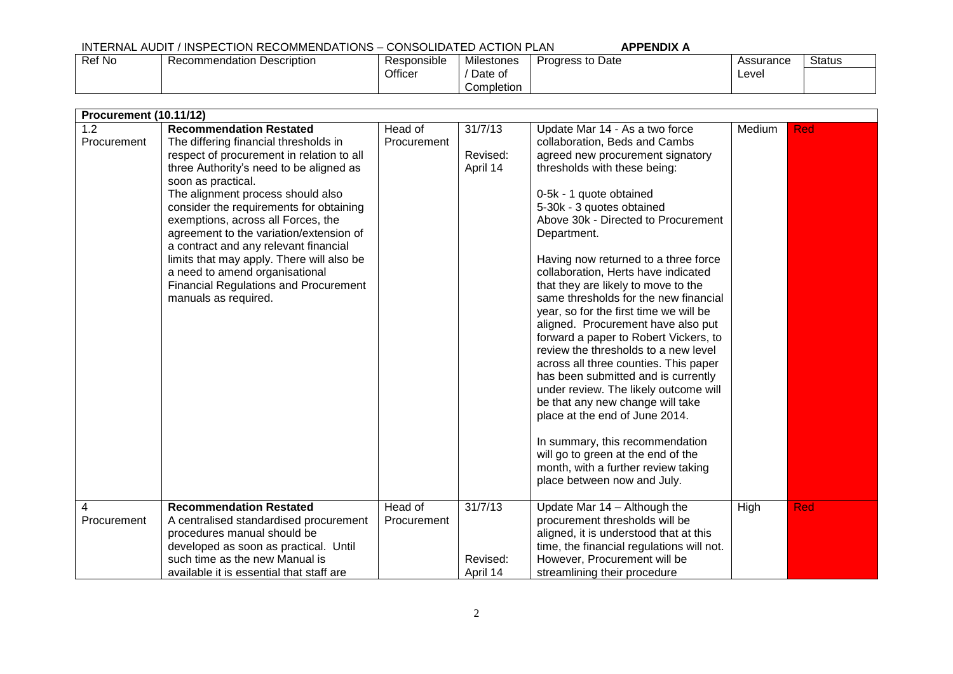Ref No Recommendation Description Responsible Officer Milestones / Date of Completion Progress to Date Assurance Level **Status** 

| <b>Procurement (10.11/12)</b> |                                                                                                                                                                                                                                                                                                                                                                                                                                                                                                                                                                                          |                                   |                                            |                                                                                                                                                                                                                                                                                                                                                                                                                                                                                                                                                                                                                                                                                                                                                                                                                                                                                                                                                                   |        |            |
|-------------------------------|------------------------------------------------------------------------------------------------------------------------------------------------------------------------------------------------------------------------------------------------------------------------------------------------------------------------------------------------------------------------------------------------------------------------------------------------------------------------------------------------------------------------------------------------------------------------------------------|-----------------------------------|--------------------------------------------|-------------------------------------------------------------------------------------------------------------------------------------------------------------------------------------------------------------------------------------------------------------------------------------------------------------------------------------------------------------------------------------------------------------------------------------------------------------------------------------------------------------------------------------------------------------------------------------------------------------------------------------------------------------------------------------------------------------------------------------------------------------------------------------------------------------------------------------------------------------------------------------------------------------------------------------------------------------------|--------|------------|
| 1.2<br>Procurement            | <b>Recommendation Restated</b><br>The differing financial thresholds in<br>respect of procurement in relation to all<br>three Authority's need to be aligned as<br>soon as practical.<br>The alignment process should also<br>consider the requirements for obtaining<br>exemptions, across all Forces, the<br>agreement to the variation/extension of<br>a contract and any relevant financial<br>limits that may apply. There will also be<br>a need to amend organisational<br><b>Financial Regulations and Procurement</b><br>manuals as required.<br><b>Recommendation Restated</b> | Head of<br>Procurement<br>Head of | 31/7/13<br>Revised:<br>April 14<br>31/7/13 | Update Mar 14 - As a two force<br>collaboration, Beds and Cambs<br>agreed new procurement signatory<br>thresholds with these being:<br>0-5k - 1 quote obtained<br>5-30k - 3 quotes obtained<br>Above 30k - Directed to Procurement<br>Department.<br>Having now returned to a three force<br>collaboration, Herts have indicated<br>that they are likely to move to the<br>same thresholds for the new financial<br>year, so for the first time we will be<br>aligned. Procurement have also put<br>forward a paper to Robert Vickers, to<br>review the thresholds to a new level<br>across all three counties. This paper<br>has been submitted and is currently<br>under review. The likely outcome will<br>be that any new change will take<br>place at the end of June 2014.<br>In summary, this recommendation<br>will go to green at the end of the<br>month, with a further review taking<br>place between now and July.<br>Update Mar $14 -$ Although the | Medium | <b>Red</b> |
| 4<br>Procurement              | A centralised standardised procurement<br>procedures manual should be<br>developed as soon as practical. Until<br>such time as the new Manual is<br>available it is essential that staff are                                                                                                                                                                                                                                                                                                                                                                                             | Procurement                       | Revised:<br>April 14                       | procurement thresholds will be<br>aligned, it is understood that at this<br>time, the financial regulations will not.<br>However, Procurement will be<br>streamlining their procedure                                                                                                                                                                                                                                                                                                                                                                                                                                                                                                                                                                                                                                                                                                                                                                             | High   | <b>Red</b> |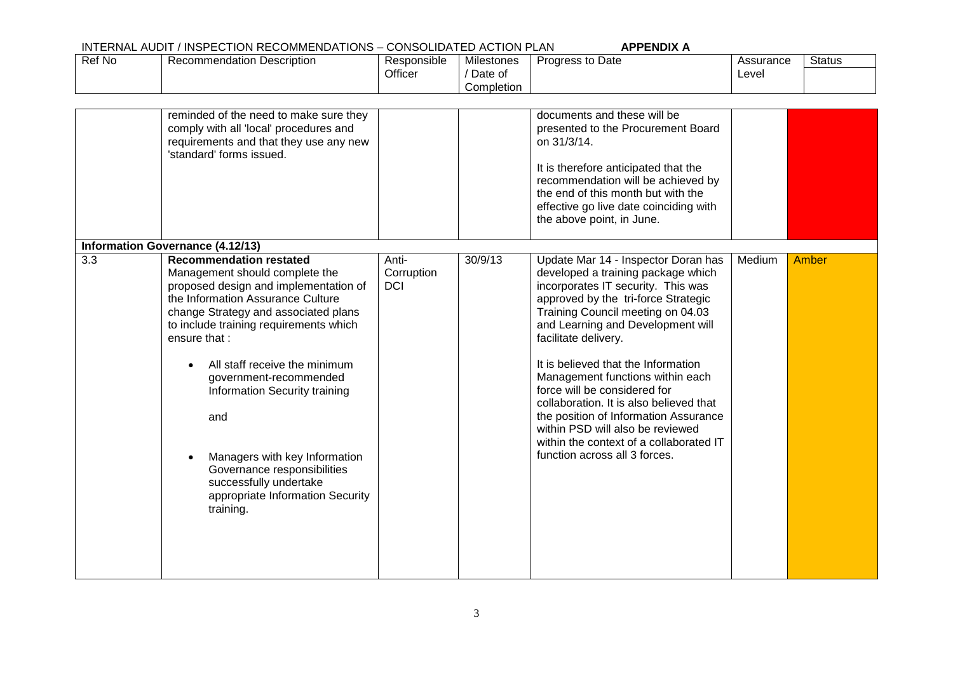| Ref No | Recommendation Description                                                                                                                                                                                                                                                                                                                                                                                                                                                                     | Responsible<br>Officer            | <b>Milestones</b><br>/ Date of<br>Completion | Progress to Date                                                                                                                                                                                                                                                                                                                                                                                                                                                                                                                                                        | Assurance<br>Level | <b>Status</b> |
|--------|------------------------------------------------------------------------------------------------------------------------------------------------------------------------------------------------------------------------------------------------------------------------------------------------------------------------------------------------------------------------------------------------------------------------------------------------------------------------------------------------|-----------------------------------|----------------------------------------------|-------------------------------------------------------------------------------------------------------------------------------------------------------------------------------------------------------------------------------------------------------------------------------------------------------------------------------------------------------------------------------------------------------------------------------------------------------------------------------------------------------------------------------------------------------------------------|--------------------|---------------|
|        | reminded of the need to make sure they<br>comply with all 'local' procedures and<br>requirements and that they use any new<br>'standard' forms issued.                                                                                                                                                                                                                                                                                                                                         |                                   |                                              | documents and these will be<br>presented to the Procurement Board<br>on 31/3/14.<br>It is therefore anticipated that the<br>recommendation will be achieved by<br>the end of this month but with the<br>effective go live date coinciding with<br>the above point, in June.                                                                                                                                                                                                                                                                                             |                    |               |
|        | <b>Information Governance (4.12/13)</b>                                                                                                                                                                                                                                                                                                                                                                                                                                                        |                                   |                                              |                                                                                                                                                                                                                                                                                                                                                                                                                                                                                                                                                                         |                    |               |
| 3.3    | <b>Recommendation restated</b><br>Management should complete the<br>proposed design and implementation of<br>the Information Assurance Culture<br>change Strategy and associated plans<br>to include training requirements which<br>ensure that:<br>All staff receive the minimum<br>government-recommended<br>Information Security training<br>and<br>Managers with key Information<br>Governance responsibilities<br>successfully undertake<br>appropriate Information Security<br>training. | Anti-<br>Corruption<br><b>DCI</b> | 30/9/13                                      | Update Mar 14 - Inspector Doran has<br>developed a training package which<br>incorporates IT security. This was<br>approved by the tri-force Strategic<br>Training Council meeting on 04.03<br>and Learning and Development will<br>facilitate delivery.<br>It is believed that the Information<br>Management functions within each<br>force will be considered for<br>collaboration. It is also believed that<br>the position of Information Assurance<br>within PSD will also be reviewed<br>within the context of a collaborated IT<br>function across all 3 forces. | Medium             | <b>Amber</b>  |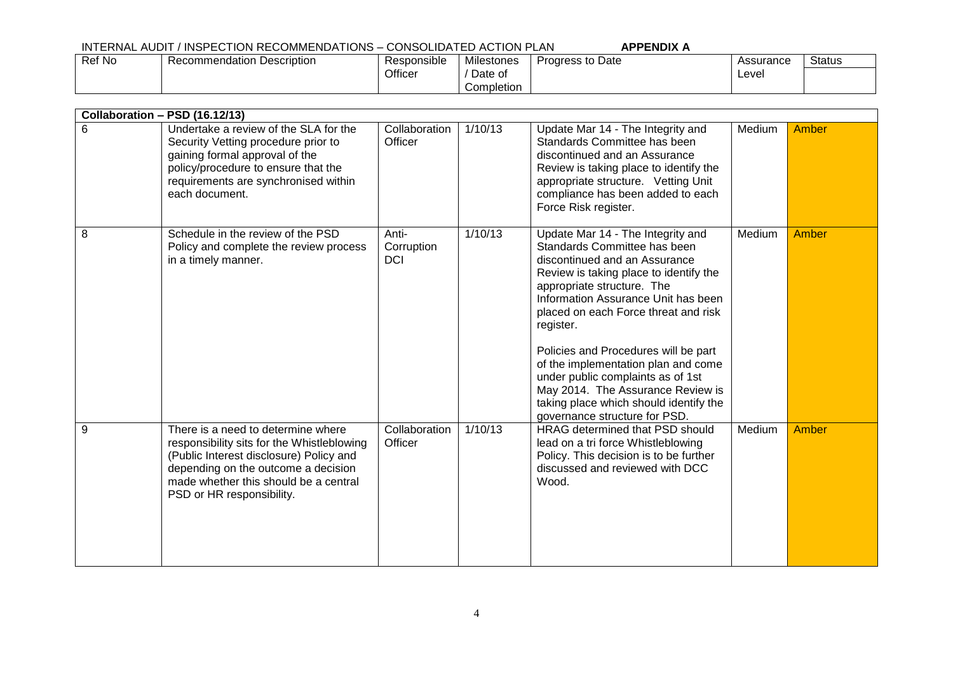| Ref No | Recommendation Description | Responsible | <b>Milestones</b> | Progress to Date | Assurance | <b>Status</b> |
|--------|----------------------------|-------------|-------------------|------------------|-----------|---------------|
|        |                            | Officer     | Date of           |                  | Level     |               |
|        |                            |             | Completion        |                  |           |               |

|   | Collaboration - PSD (16.12/13)                                                                                                                                                                                                           |                                   |         |                                                                                                                                                                                                                                                                                                                                                                                                                                                                                                            |        |       |
|---|------------------------------------------------------------------------------------------------------------------------------------------------------------------------------------------------------------------------------------------|-----------------------------------|---------|------------------------------------------------------------------------------------------------------------------------------------------------------------------------------------------------------------------------------------------------------------------------------------------------------------------------------------------------------------------------------------------------------------------------------------------------------------------------------------------------------------|--------|-------|
| 6 | Undertake a review of the SLA for the<br>Security Vetting procedure prior to<br>gaining formal approval of the<br>policy/procedure to ensure that the<br>requirements are synchronised within<br>each document.                          | Collaboration<br>Officer          | 1/10/13 | Update Mar 14 - The Integrity and<br>Standards Committee has been<br>discontinued and an Assurance<br>Review is taking place to identify the<br>appropriate structure. Vetting Unit<br>compliance has been added to each<br>Force Risk register.                                                                                                                                                                                                                                                           | Medium | Amber |
| 8 | Schedule in the review of the PSD<br>Policy and complete the review process<br>in a timely manner.                                                                                                                                       | Anti-<br>Corruption<br><b>DCI</b> | 1/10/13 | Update Mar 14 - The Integrity and<br>Standards Committee has been<br>discontinued and an Assurance<br>Review is taking place to identify the<br>appropriate structure. The<br>Information Assurance Unit has been<br>placed on each Force threat and risk<br>register.<br>Policies and Procedures will be part<br>of the implementation plan and come<br>under public complaints as of 1st<br>May 2014. The Assurance Review is<br>taking place which should identify the<br>governance structure for PSD. | Medium | Amber |
| 9 | There is a need to determine where<br>responsibility sits for the Whistleblowing<br>(Public Interest disclosure) Policy and<br>depending on the outcome a decision<br>made whether this should be a central<br>PSD or HR responsibility. | Collaboration<br>Officer          | 1/10/13 | HRAG determined that PSD should<br>lead on a tri force Whistleblowing<br>Policy. This decision is to be further<br>discussed and reviewed with DCC<br>Wood.                                                                                                                                                                                                                                                                                                                                                | Medium | Amber |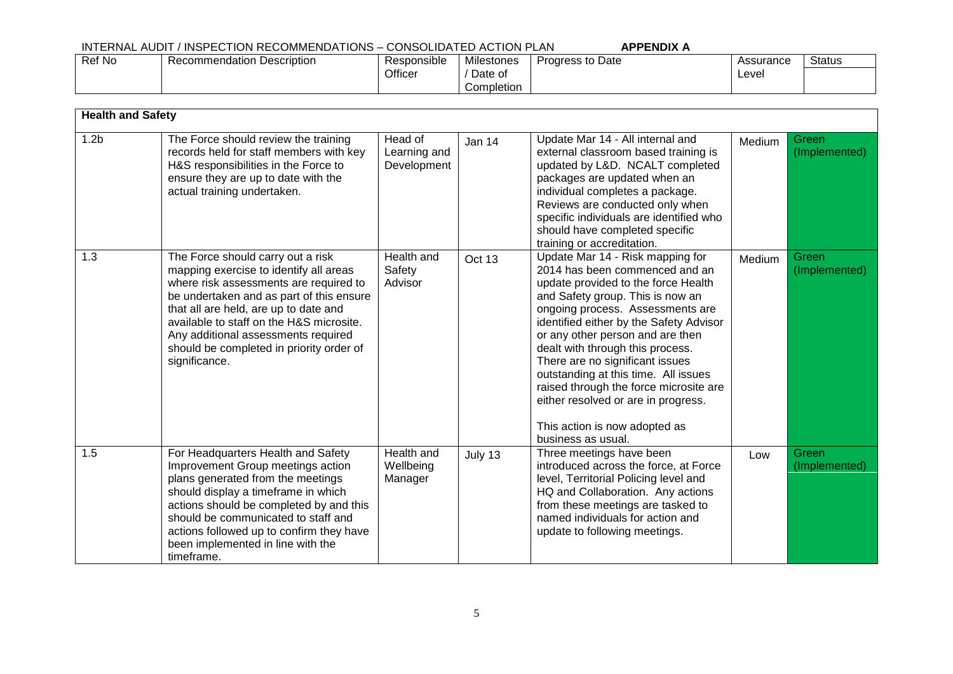#### INTERNAL AUDIT / INSPECTION RECOMMENDATIONS – CONSOLIDATED ACTION PLAN **APPENDIX A** Ref No Recommendation Description Responsible Officer Milestones / Date of Completion Progress to Date Assurance Level **Status**

| <b>Health and Safety</b> |                                                                                                                                                                                                                                                                                                                                                            |                                        |         |                                                                                                                                                                                                                                                                                                                                                                                                                                                                                                                         |        |                        |
|--------------------------|------------------------------------------------------------------------------------------------------------------------------------------------------------------------------------------------------------------------------------------------------------------------------------------------------------------------------------------------------------|----------------------------------------|---------|-------------------------------------------------------------------------------------------------------------------------------------------------------------------------------------------------------------------------------------------------------------------------------------------------------------------------------------------------------------------------------------------------------------------------------------------------------------------------------------------------------------------------|--------|------------------------|
| 1.2 <sub>b</sub>         | The Force should review the training<br>records held for staff members with key<br>H&S responsibilities in the Force to<br>ensure they are up to date with the<br>actual training undertaken.                                                                                                                                                              | Head of<br>Learning and<br>Development | Jan 14  | Update Mar 14 - All internal and<br>external classroom based training is<br>updated by L&D. NCALT completed<br>packages are updated when an<br>individual completes a package.<br>Reviews are conducted only when<br>specific individuals are identified who<br>should have completed specific<br>training or accreditation.                                                                                                                                                                                            | Medium | Green<br>(Implemented) |
| 1.3                      | The Force should carry out a risk<br>mapping exercise to identify all areas<br>where risk assessments are required to<br>be undertaken and as part of this ensure<br>that all are held, are up to date and<br>available to staff on the H&S microsite.<br>Any additional assessments required<br>should be completed in priority order of<br>significance. | <b>Health and</b><br>Safety<br>Advisor | Oct 13  | Update Mar 14 - Risk mapping for<br>2014 has been commenced and an<br>update provided to the force Health<br>and Safety group. This is now an<br>ongoing process. Assessments are<br>identified either by the Safety Advisor<br>or any other person and are then<br>dealt with through this process.<br>There are no significant issues<br>outstanding at this time. All issues<br>raised through the force microsite are<br>either resolved or are in progress.<br>This action is now adopted as<br>business as usual. | Medium | Green<br>(Implemented) |
| 1.5                      | For Headquarters Health and Safety<br>Improvement Group meetings action<br>plans generated from the meetings<br>should display a timeframe in which<br>actions should be completed by and this<br>should be communicated to staff and<br>actions followed up to confirm they have<br>been implemented in line with the<br>timeframe.                       | Health and<br>Wellbeing<br>Manager     | July 13 | Three meetings have been<br>introduced across the force, at Force<br>level, Territorial Policing level and<br>HQ and Collaboration. Any actions<br>from these meetings are tasked to<br>named individuals for action and<br>update to following meetings.                                                                                                                                                                                                                                                               | Low    | Green<br>(Implemented) |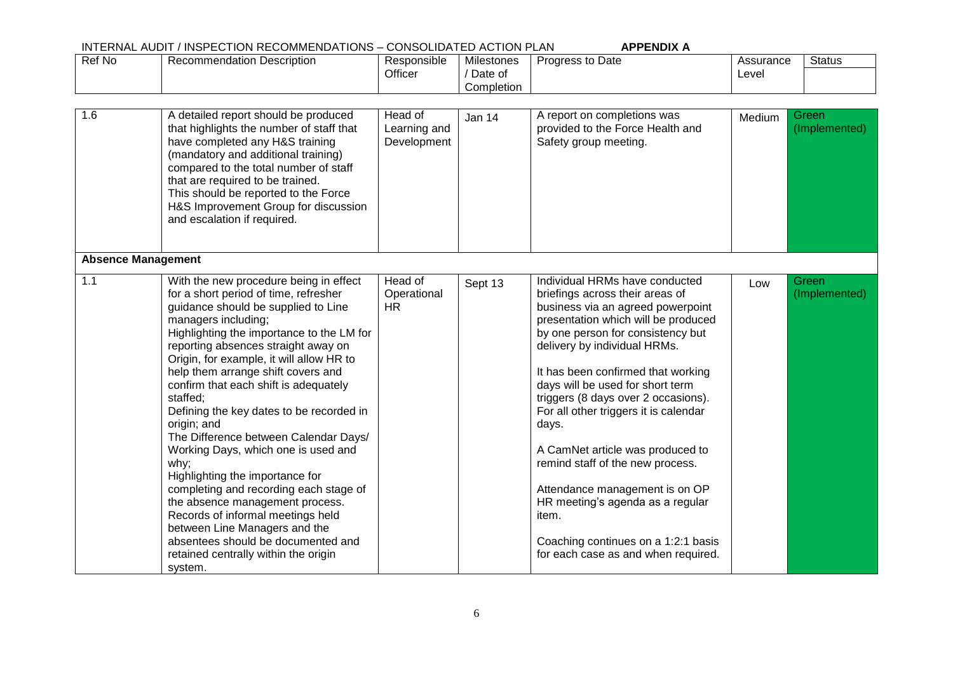| Ref No                    | <b>Recommendation Description</b>                                                                                                                                                                                                                                                                                                                                                                                                                                                                                                                                                                                                                                                                                                                                                                          | Responsible<br>Officer                 | <b>Milestones</b><br>/ Date of<br>Completion | Progress to Date                                                                                                                                                                                                                                                                                                                                                                                                                                                                                                                                                                                                           | Assurance<br>Level | <b>Status</b>          |
|---------------------------|------------------------------------------------------------------------------------------------------------------------------------------------------------------------------------------------------------------------------------------------------------------------------------------------------------------------------------------------------------------------------------------------------------------------------------------------------------------------------------------------------------------------------------------------------------------------------------------------------------------------------------------------------------------------------------------------------------------------------------------------------------------------------------------------------------|----------------------------------------|----------------------------------------------|----------------------------------------------------------------------------------------------------------------------------------------------------------------------------------------------------------------------------------------------------------------------------------------------------------------------------------------------------------------------------------------------------------------------------------------------------------------------------------------------------------------------------------------------------------------------------------------------------------------------------|--------------------|------------------------|
| 1.6                       | A detailed report should be produced<br>that highlights the number of staff that<br>have completed any H&S training<br>(mandatory and additional training)<br>compared to the total number of staff<br>that are required to be trained.<br>This should be reported to the Force<br>H&S Improvement Group for discussion<br>and escalation if required.                                                                                                                                                                                                                                                                                                                                                                                                                                                     | Head of<br>Learning and<br>Development | Jan 14                                       | A report on completions was<br>provided to the Force Health and<br>Safety group meeting.                                                                                                                                                                                                                                                                                                                                                                                                                                                                                                                                   | Medium             | Green<br>(Implemented) |
| <b>Absence Management</b> |                                                                                                                                                                                                                                                                                                                                                                                                                                                                                                                                                                                                                                                                                                                                                                                                            |                                        |                                              |                                                                                                                                                                                                                                                                                                                                                                                                                                                                                                                                                                                                                            |                    |                        |
| 1.1                       | With the new procedure being in effect<br>for a short period of time, refresher<br>guidance should be supplied to Line<br>managers including;<br>Highlighting the importance to the LM for<br>reporting absences straight away on<br>Origin, for example, it will allow HR to<br>help them arrange shift covers and<br>confirm that each shift is adequately<br>staffed;<br>Defining the key dates to be recorded in<br>origin; and<br>The Difference between Calendar Days/<br>Working Days, which one is used and<br>why;<br>Highlighting the importance for<br>completing and recording each stage of<br>the absence management process.<br>Records of informal meetings held<br>between Line Managers and the<br>absentees should be documented and<br>retained centrally within the origin<br>system. | Head of<br>Operational<br><b>HR</b>    | Sept 13                                      | Individual HRMs have conducted<br>briefings across their areas of<br>business via an agreed powerpoint<br>presentation which will be produced<br>by one person for consistency but<br>delivery by individual HRMs.<br>It has been confirmed that working<br>days will be used for short term<br>triggers (8 days over 2 occasions).<br>For all other triggers it is calendar<br>days.<br>A CamNet article was produced to<br>remind staff of the new process.<br>Attendance management is on OP<br>HR meeting's agenda as a regular<br>item.<br>Coaching continues on a 1:2:1 basis<br>for each case as and when required. | Low                | Green<br>(Implemented) |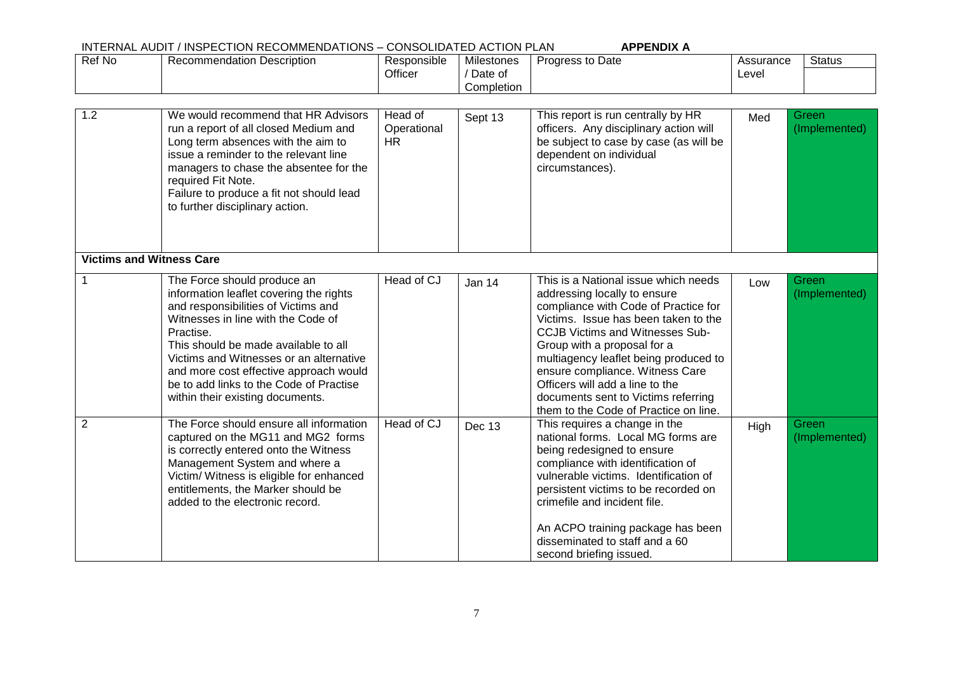| Ref No         | <b>Recommendation Description</b>                                                                                                                                                                                                                                                                                                                                            | Responsible<br>Officer              | <b>Milestones</b><br>/ Date of<br>Completion | Progress to Date                                                                                                                                                                                                                                                                                                                                                                                                             | Assurance<br>Level | <b>Status</b>          |
|----------------|------------------------------------------------------------------------------------------------------------------------------------------------------------------------------------------------------------------------------------------------------------------------------------------------------------------------------------------------------------------------------|-------------------------------------|----------------------------------------------|------------------------------------------------------------------------------------------------------------------------------------------------------------------------------------------------------------------------------------------------------------------------------------------------------------------------------------------------------------------------------------------------------------------------------|--------------------|------------------------|
| 1.2            | We would recommend that HR Advisors<br>run a report of all closed Medium and<br>Long term absences with the aim to<br>issue a reminder to the relevant line<br>managers to chase the absentee for the<br>required Fit Note.<br>Failure to produce a fit not should lead<br>to further disciplinary action.                                                                   | Head of<br>Operational<br><b>HR</b> | Sept 13                                      | This report is run centrally by HR<br>officers. Any disciplinary action will<br>be subject to case by case (as will be<br>dependent on individual<br>circumstances).                                                                                                                                                                                                                                                         | Med                | Green<br>(Implemented) |
|                | <b>Victims and Witness Care</b>                                                                                                                                                                                                                                                                                                                                              |                                     |                                              |                                                                                                                                                                                                                                                                                                                                                                                                                              |                    |                        |
| 1              | The Force should produce an<br>information leaflet covering the rights<br>and responsibilities of Victims and<br>Witnesses in line with the Code of<br>Practise.<br>This should be made available to all<br>Victims and Witnesses or an alternative<br>and more cost effective approach would<br>be to add links to the Code of Practise<br>within their existing documents. | Head of CJ                          | Jan 14                                       | This is a National issue which needs<br>addressing locally to ensure<br>compliance with Code of Practice for<br>Victims. Issue has been taken to the<br><b>CCJB Victims and Witnesses Sub-</b><br>Group with a proposal for a<br>multiagency leaflet being produced to<br>ensure compliance. Witness Care<br>Officers will add a line to the<br>documents sent to Victims referring<br>them to the Code of Practice on line. | Low                | Green<br>(Implemented) |
| $\overline{2}$ | The Force should ensure all information<br>captured on the MG11 and MG2 forms<br>is correctly entered onto the Witness<br>Management System and where a<br>Victim/ Witness is eligible for enhanced<br>entitlements, the Marker should be<br>added to the electronic record.                                                                                                 | Head of CJ                          | Dec 13                                       | This requires a change in the<br>national forms. Local MG forms are<br>being redesigned to ensure<br>compliance with identification of<br>vulnerable victims. Identification of<br>persistent victims to be recorded on<br>crimefile and incident file.<br>An ACPO training package has been<br>disseminated to staff and a 60<br>second briefing issued.                                                                    | High               | Green<br>(Implemented) |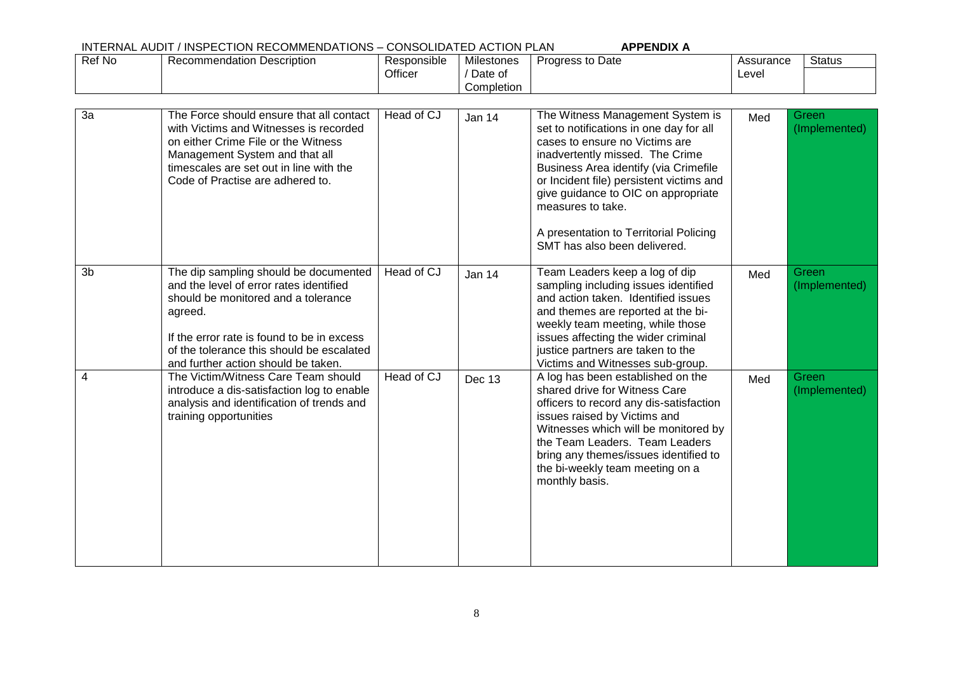| Ref No         | <b>Recommendation Description</b>                                                                                                                                                                                                                                    | Responsible<br>Officer | Milestones<br>/ Date of<br>Completion | Progress to Date                                                                                                                                                                                                                                                                                                                                                            | Assurance<br>Level | <b>Status</b>          |
|----------------|----------------------------------------------------------------------------------------------------------------------------------------------------------------------------------------------------------------------------------------------------------------------|------------------------|---------------------------------------|-----------------------------------------------------------------------------------------------------------------------------------------------------------------------------------------------------------------------------------------------------------------------------------------------------------------------------------------------------------------------------|--------------------|------------------------|
| 3a             | The Force should ensure that all contact<br>with Victims and Witnesses is recorded<br>on either Crime File or the Witness<br>Management System and that all<br>timescales are set out in line with the<br>Code of Practise are adhered to.                           | Head of CJ             | Jan 14                                | The Witness Management System is<br>set to notifications in one day for all<br>cases to ensure no Victims are<br>inadvertently missed. The Crime<br>Business Area identify (via Crimefile<br>or Incident file) persistent victims and<br>give guidance to OIC on appropriate<br>measures to take.<br>A presentation to Territorial Policing<br>SMT has also been delivered. | Med                | Green<br>(Implemented) |
| 3 <sub>b</sub> | The dip sampling should be documented<br>and the level of error rates identified<br>should be monitored and a tolerance<br>agreed.<br>If the error rate is found to be in excess<br>of the tolerance this should be escalated<br>and further action should be taken. | Head of CJ             | Jan 14                                | Team Leaders keep a log of dip<br>sampling including issues identified<br>and action taken. Identified issues<br>and themes are reported at the bi-<br>weekly team meeting, while those<br>issues affecting the wider criminal<br>justice partners are taken to the<br>Victims and Witnesses sub-group.                                                                     | Med                | Green<br>(Implemented) |
| 4              | The Victim/Witness Care Team should<br>introduce a dis-satisfaction log to enable<br>analysis and identification of trends and<br>training opportunities                                                                                                             | Head of CJ             | Dec 13                                | A log has been established on the<br>shared drive for Witness Care<br>officers to record any dis-satisfaction<br>issues raised by Victims and<br>Witnesses which will be monitored by<br>the Team Leaders. Team Leaders<br>bring any themes/issues identified to<br>the bi-weekly team meeting on a<br>monthly basis.                                                       | Med                | Green<br>(Implemented) |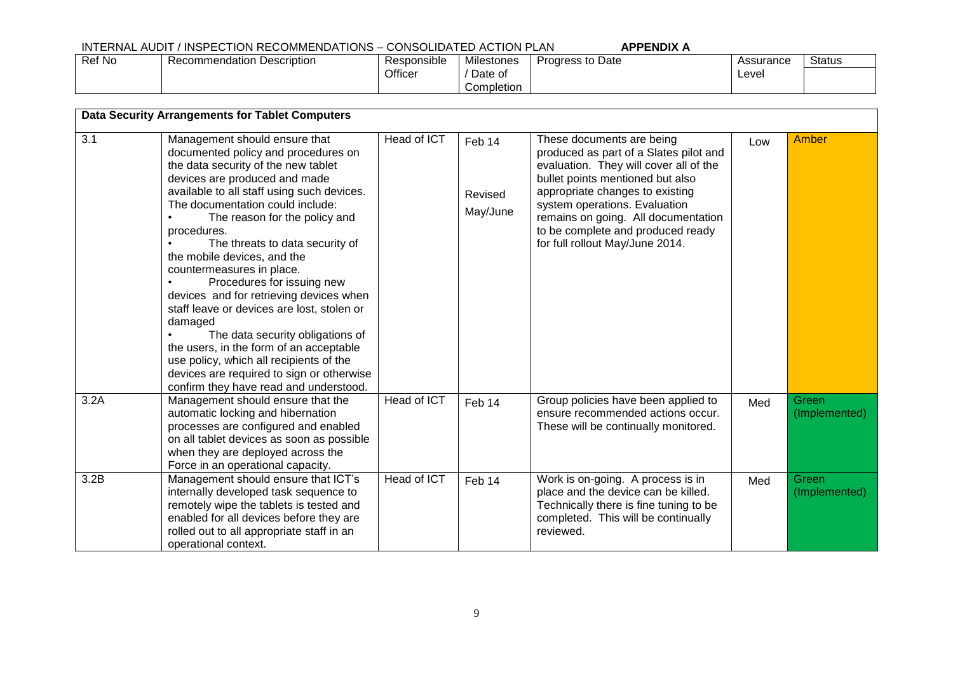| Ref No | Recommendation Description | Responsible | .<br>Milestones | Progress to Date | Assurance | <b>Status</b> |
|--------|----------------------------|-------------|-----------------|------------------|-----------|---------------|
|        |                            | Officer     | Date of         |                  | Level     |               |
|        |                            |             | Completion      |                  |           |               |

|      | <b>Data Security Arrangements for Tablet Computers</b>                                                                                                                                                                                                                                                                                                                                                                                                                                                                                                                                                                                                                                                                           |             |                               |                                                                                                                                                                                                                                                                                                                                      |     |                        |  |  |  |
|------|----------------------------------------------------------------------------------------------------------------------------------------------------------------------------------------------------------------------------------------------------------------------------------------------------------------------------------------------------------------------------------------------------------------------------------------------------------------------------------------------------------------------------------------------------------------------------------------------------------------------------------------------------------------------------------------------------------------------------------|-------------|-------------------------------|--------------------------------------------------------------------------------------------------------------------------------------------------------------------------------------------------------------------------------------------------------------------------------------------------------------------------------------|-----|------------------------|--|--|--|
| 3.1  | Management should ensure that<br>documented policy and procedures on<br>the data security of the new tablet<br>devices are produced and made<br>available to all staff using such devices.<br>The documentation could include:<br>The reason for the policy and<br>procedures.<br>The threats to data security of<br>the mobile devices, and the<br>countermeasures in place.<br>Procedures for issuing new<br>devices and for retrieving devices when<br>staff leave or devices are lost, stolen or<br>damaged<br>The data security obligations of<br>the users, in the form of an acceptable<br>use policy, which all recipients of the<br>devices are required to sign or otherwise<br>confirm they have read and understood. | Head of ICT | Feb 14<br>Revised<br>May/June | These documents are being<br>produced as part of a Slates pilot and<br>evaluation. They will cover all of the<br>bullet points mentioned but also<br>appropriate changes to existing<br>system operations. Evaluation<br>remains on going. All documentation<br>to be complete and produced ready<br>for full rollout May/June 2014. | Low | <b>Amber</b>           |  |  |  |
| 3.2A | Management should ensure that the<br>automatic locking and hibernation<br>processes are configured and enabled<br>on all tablet devices as soon as possible<br>when they are deployed across the<br>Force in an operational capacity.                                                                                                                                                                                                                                                                                                                                                                                                                                                                                            | Head of ICT | Feb 14                        | Group policies have been applied to<br>ensure recommended actions occur.<br>These will be continually monitored.                                                                                                                                                                                                                     | Med | Green<br>(Implemented) |  |  |  |
| 3.2B | Management should ensure that ICT's<br>internally developed task sequence to<br>remotely wipe the tablets is tested and<br>enabled for all devices before they are<br>rolled out to all appropriate staff in an<br>operational context.                                                                                                                                                                                                                                                                                                                                                                                                                                                                                          | Head of ICT | Feb 14                        | Work is on-going. A process is in<br>place and the device can be killed.<br>Technically there is fine tuning to be<br>completed. This will be continually<br>reviewed.                                                                                                                                                               | Med | Green<br>(Implemented) |  |  |  |